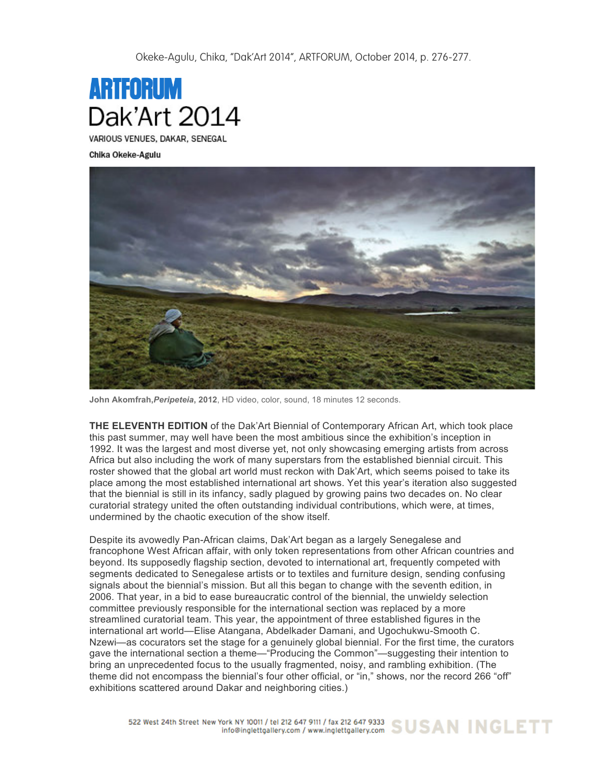Okeke-Agulu, Chika, "Dak'Art 2014", ARTFORUM, October 2014, p. 276-277.



VARIOUS VENUES, DAKAR, SENEGAL

Chika Okeke-Agulu



**John Akomfrah,***Peripeteia***, 2012**, HD video, color, sound, 18 minutes 12 seconds.

**THE ELEVENTH EDITION** of the Dak'Art Biennial of Contemporary African Art, which took place this past summer, may well have been the most ambitious since the exhibition's inception in 1992. It was the largest and most diverse yet, not only showcasing emerging artists from across Africa but also including the work of many superstars from the established biennial circuit. This roster showed that the global art world must reckon with Dak'Art, which seems poised to take its place among the most established international art shows. Yet this year's iteration also suggested that the biennial is still in its infancy, sadly plagued by growing pains two decades on. No clear curatorial strategy united the often outstanding individual contributions, which were, at times, undermined by the chaotic execution of the show itself.

Despite its avowedly Pan-African claims, Dak'Art began as a largely Senegalese and francophone West African affair, with only token representations from other African countries and beyond. Its supposedly flagship section, devoted to international art, frequently competed with segments dedicated to Senegalese artists or to textiles and furniture design, sending confusing signals about the biennial's mission. But all this began to change with the seventh edition, in 2006. That year, in a bid to ease bureaucratic control of the biennial, the unwieldy selection committee previously responsible for the international section was replaced by a more streamlined curatorial team. This year, the appointment of three established figures in the international art world—Elise Atangana, Abdelkader Damani, and Ugochukwu-Smooth C. Nzewi—as cocurators set the stage for a genuinely global biennial. For the first time, the curators gave the international section a theme—"Producing the Common"—suggesting their intention to bring an unprecedented focus to the usually fragmented, noisy, and rambling exhibition. (The theme did not encompass the biennial's four other official, or "in," shows, nor the record 266 "off" exhibitions scattered around Dakar and neighboring cities.)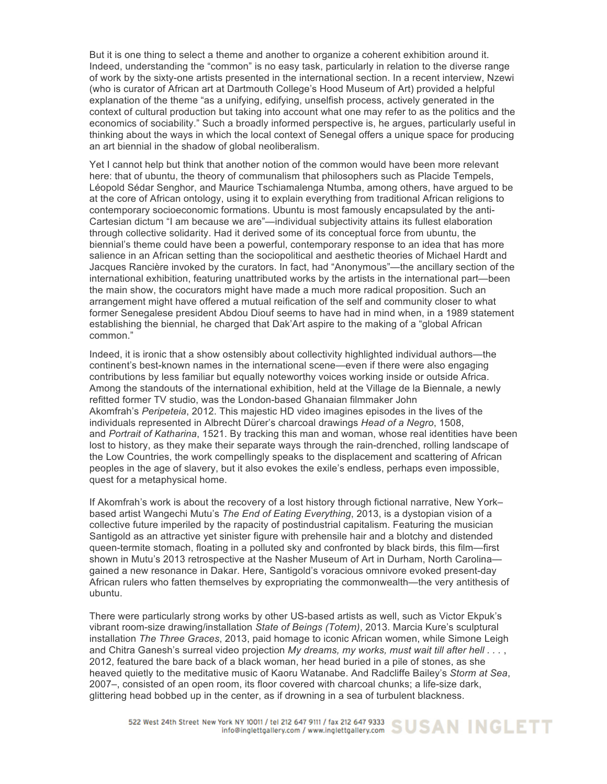But it is one thing to select a theme and another to organize a coherent exhibition around it. Indeed, understanding the "common" is no easy task, particularly in relation to the diverse range of work by the sixty-one artists presented in the international section. In a recent interview, Nzewi (who is curator of African art at Dartmouth College's Hood Museum of Art) provided a helpful explanation of the theme "as a unifying, edifying, unselfish process, actively generated in the context of cultural production but taking into account what one may refer to as the politics and the economics of sociability." Such a broadly informed perspective is, he argues, particularly useful in thinking about the ways in which the local context of Senegal offers a unique space for producing an art biennial in the shadow of global neoliberalism.

Yet I cannot help but think that another notion of the common would have been more relevant here: that of ubuntu, the theory of communalism that philosophers such as Placide Tempels, Léopold Sédar Senghor, and Maurice Tschiamalenga Ntumba, among others, have argued to be at the core of African ontology, using it to explain everything from traditional African religions to contemporary socioeconomic formations. Ubuntu is most famously encapsulated by the anti-Cartesian dictum "I am because we are"—individual subjectivity attains its fullest elaboration through collective solidarity. Had it derived some of its conceptual force from ubuntu, the biennial's theme could have been a powerful, contemporary response to an idea that has more salience in an African setting than the sociopolitical and aesthetic theories of Michael Hardt and Jacques Rancière invoked by the curators. In fact, had "Anonymous"—the ancillary section of the international exhibition, featuring unattributed works by the artists in the international part—been the main show, the cocurators might have made a much more radical proposition. Such an arrangement might have offered a mutual reification of the self and community closer to what former Senegalese president Abdou Diouf seems to have had in mind when, in a 1989 statement establishing the biennial, he charged that Dak'Art aspire to the making of a "global African common."

Indeed, it is ironic that a show ostensibly about collectivity highlighted individual authors—the continent's best-known names in the international scene—even if there were also engaging contributions by less familiar but equally noteworthy voices working inside or outside Africa. Among the standouts of the international exhibition, held at the Village de la Biennale, a newly refitted former TV studio, was the London-based Ghanaian filmmaker John Akomfrah's *Peripeteia*, 2012. This majestic HD video imagines episodes in the lives of the individuals represented in Albrecht Dürer's charcoal drawings *Head of a Negro*, 1508, and *Portrait of Katharina*, 1521. By tracking this man and woman, whose real identities have been lost to history, as they make their separate ways through the rain-drenched, rolling landscape of the Low Countries, the work compellingly speaks to the displacement and scattering of African peoples in the age of slavery, but it also evokes the exile's endless, perhaps even impossible, quest for a metaphysical home.

If Akomfrah's work is about the recovery of a lost history through fictional narrative, New York– based artist Wangechi Mutu's *The End of Eating Everything*, 2013, is a dystopian vision of a collective future imperiled by the rapacity of postindustrial capitalism. Featuring the musician Santigold as an attractive yet sinister figure with prehensile hair and a blotchy and distended queen-termite stomach, floating in a polluted sky and confronted by black birds, this film—first shown in Mutu's 2013 retrospective at the Nasher Museum of Art in Durham, North Carolina gained a new resonance in Dakar. Here, Santigold's voracious omnivore evoked present-day African rulers who fatten themselves by expropriating the commonwealth—the very antithesis of ubuntu.

There were particularly strong works by other US-based artists as well, such as Victor Ekpuk's vibrant room-size drawing/installation *State of Beings (Totem)*, 2013. Marcia Kure's sculptural installation *The Three Graces*, 2013, paid homage to iconic African women, while Simone Leigh and Chitra Ganesh's surreal video projection *My dreams, my works, must wait till after hell . . .* , 2012, featured the bare back of a black woman, her head buried in a pile of stones, as she heaved quietly to the meditative music of Kaoru Watanabe. And Radcliffe Bailey's *Storm at Sea*, 2007–, consisted of an open room, its floor covered with charcoal chunks; a life-size dark, glittering head bobbed up in the center, as if drowning in a sea of turbulent blackness.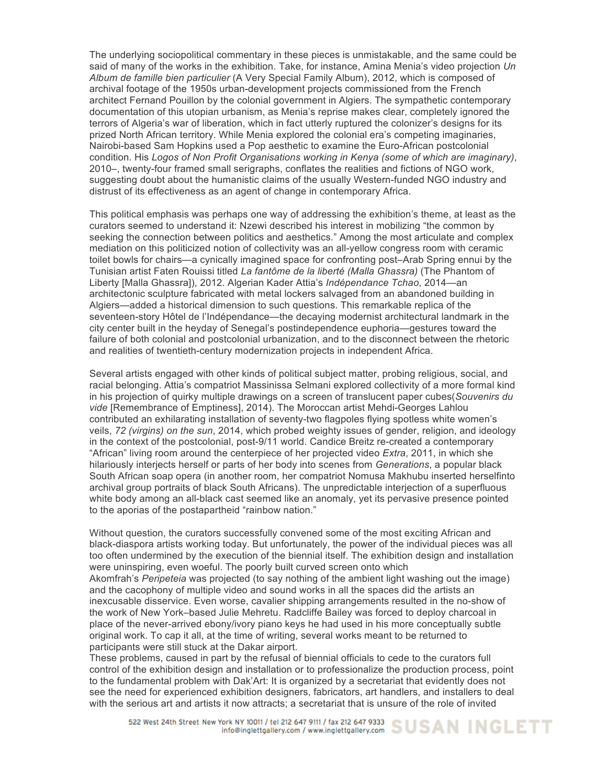The underlying sociopolitical commentary in these pieces is unmistakable, and the same could be said of many of the works in the exhibition. Take, for instance, Amina Menia's video projection *Un Album de famille bien particulier* (A Very Special Family Album), 2012, which is composed of archival footage of the 1950s urban-development projects commissioned from the French architect Fernand Pouillon by the colonial government in Algiers. The sympathetic contemporary documentation of this utopian urbanism, as Menia's reprise makes clear, completely ignored the terrors of Algeria's war of liberation, which in fact utterly ruptured the colonizer's designs for its prized North African territory. While Menia explored the colonial era's competing imaginaries, Nairobi-based Sam Hopkins used a Pop aesthetic to examine the Euro-African postcolonial condition. His *Logos of Non Profit Organisations working in Kenya (some of which are imaginary)*, 2010–, twenty-four framed small serigraphs, conflates the realities and fictions of NGO work, suggesting doubt about the humanistic claims of the usually Western-funded NGO industry and distrust of its effectiveness as an agent of change in contemporary Africa.

This political emphasis was perhaps one way of addressing the exhibition's theme, at least as the curators seemed to understand it: Nzewi described his interest in mobilizing "the common by seeking the connection between politics and aesthetics." Among the most articulate and complex mediation on this politicized notion of collectivity was an all-yellow congress room with ceramic toilet bowls for chairs—a cynically imagined space for confronting post–Arab Spring ennui by the Tunisian artist Faten Rouissi titled *La fantôme de la liberté (Malla Ghassra)* (The Phantom of Liberty [Malla Ghassra]), 2012. Algerian Kader Attia's *Indépendance Tchao*, 2014—an architectonic sculpture fabricated with metal lockers salvaged from an abandoned building in Algiers—added a historical dimension to such questions. This remarkable replica of the seventeen-story Hôtel de l'Indépendance—the decaying modernist architectural landmark in the city center built in the heyday of Senegal's postindependence euphoria—gestures toward the failure of both colonial and postcolonial urbanization, and to the disconnect between the rhetoric and realities of twentieth-century modernization projects in independent Africa.

Several artists engaged with other kinds of political subject matter, probing religious, social, and racial belonging. Attia's compatriot Massinissa Selmani explored collectivity of a more formal kind in his projection of quirky multiple drawings on a screen of translucent paper cubes(*Souvenirs du vide* [Remembrance of Emptiness], 2014). The Moroccan artist Mehdi-Georges Lahlou contributed an exhilarating installation of seventy-two flagpoles flying spotless white women's veils, *72 (virgins) on the sun*, 2014, which probed weighty issues of gender, religion, and ideology in the context of the postcolonial, post-9/11 world. Candice Breitz re-created a contemporary "African" living room around the centerpiece of her projected video *Extra*, 2011, in which she hilariously interjects herself or parts of her body into scenes from *Generations*, a popular black South African soap opera (in another room, her compatriot Nomusa Makhubu inserted herselfinto archival group portraits of black South Africans). The unpredictable interjection of a superfluous white body among an all-black cast seemed like an anomaly, yet its pervasive presence pointed to the aporias of the postapartheid "rainbow nation."

Without question, the curators successfully convened some of the most exciting African and black-diaspora artists working today. But unfortunately, the power of the individual pieces was all too often undermined by the execution of the biennial itself. The exhibition design and installation were uninspiring, even woeful. The poorly built curved screen onto which

Akomfrah's *Peripeteia* was projected (to say nothing of the ambient light washing out the image) and the cacophony of multiple video and sound works in all the spaces did the artists an inexcusable disservice. Even worse, cavalier shipping arrangements resulted in the no-show of the work of New York–based Julie Mehretu. Radcliffe Bailey was forced to deploy charcoal in place of the never-arrived ebony/ivory piano keys he had used in his more conceptually subtle original work. To cap it all, at the time of writing, several works meant to be returned to participants were still stuck at the Dakar airport.

These problems, caused in part by the refusal of biennial officials to cede to the curators full control of the exhibition design and installation or to professionalize the production process, point to the fundamental problem with Dak'Art: It is organized by a secretariat that evidently does not see the need for experienced exhibition designers, fabricators, art handlers, and installers to deal with the serious art and artists it now attracts; a secretariat that is unsure of the role of invited